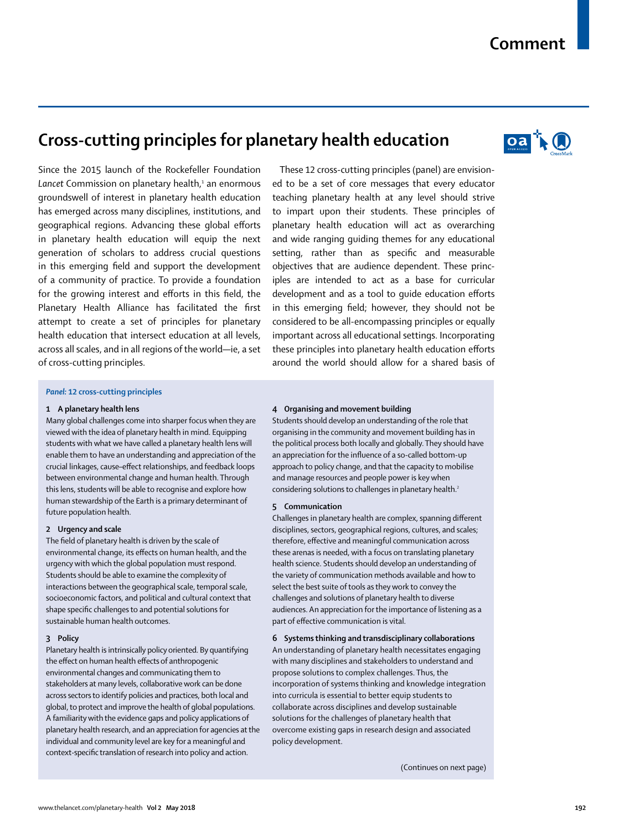# **Comment**

# **Cross-cutting principles for planetary health education**



Since the 2015 launch of the Rockefeller Foundation Lancet Commission on planetary health,<sup>1</sup> an enormous groundswell of interest in planetary health education has emerged across many disciplines, institutions, and geographical regions. Advancing these global efforts in planetary health education will equip the next generation of scholars to address crucial questions in this emerging field and support the development of a community of practice. To provide a foundation for the growing interest and efforts in this field, the Planetary Health Alliance has facilitated the first attempt to create a set of principles for planetary health education that intersect education at all levels, across all scales, and in all regions of the world—ie, a set of cross-cutting principles.

These 12 cross-cutting principles (panel) are envisioned to be a set of core messages that every educator teaching planetary health at any level should strive to impart upon their students. These principles of planetary health education will act as overarching and wide ranging guiding themes for any educational setting, rather than as specific and measurable objectives that are audience dependent. These principles are intended to act as a base for curricular development and as a tool to guide education efforts in this emerging field; however, they should not be considered to be all-encompassing principles or equally important across all educational settings. Incorporating these principles into planetary health education efforts around the world should allow for a shared basis of

# *Panel:* **12 cross-cutting principles**

#### **1 A planetary health lens**

Many global challenges come into sharper focus when they are viewed with the idea of planetary health in mind. Equipping students with what we have called a planetary health lens will enable them to have an understanding and appreciation of the crucial linkages, cause–effect relationships, and feedback loops between environmental change and human health. Through this lens, students will be able to recognise and explore how human stewardship of the Earth is a primary determinant of future population health.

#### **2 Urgency and scale**

The field of planetary health is driven by the scale of environmental change, its effects on human health, and the urgency with which the global population must respond. Students should be able to examine the complexity of interactions between the geographical scale, temporal scale, socioeconomic factors, and political and cultural context that shape specific challenges to and potential solutions for sustainable human health outcomes.

#### **3 Policy**

Planetary health is intrinsically policy oriented. By quantifying the effect on human health effects of anthropogenic environmental changes and communicating them to stakeholders at many levels, collaborative work can be done across sectors to identify policies and practices, both local and global, to protect and improve the health of global populations. A familiarity with the evidence gaps and policy applications of planetary health research, and an appreciation for agencies at the individual and community level are key for a meaningful and context-specific translation of research into policy and action.

#### **4 Organising and movement building**

Students should develop an understanding of the role that organising in the community and movement building has in the political process both locally and globally. They should have an appreciation for the influence of a so-called bottom-up approach to policy change, and that the capacity to mobilise and manage resources and people power is key when considering solutions to challenges in planetary health.<sup>2</sup>

#### **5 Communication**

Challenges in planetary health are complex, spanning different disciplines, sectors, geographical regions, cultures, and scales; therefore, effective and meaningful communication across these arenas is needed, with a focus on translating planetary health science. Students should develop an understanding of the variety of communication methods available and how to select the best suite of tools as they work to convey the challenges and solutions of planetary health to diverse audiences. An appreciation for the importance of listening as a part of effective communication is vital.

**6 Systems thinking and transdisciplinary collaborations**

An understanding of planetary health necessitates engaging with many disciplines and stakeholders to understand and propose solutions to complex challenges. Thus, the incorporation of systems thinking and knowledge integration into curricula is essential to better equip students to collaborate across disciplines and develop sustainable solutions for the challenges of planetary health that overcome existing gaps in research design and associated policy development.

(Continues on next page)